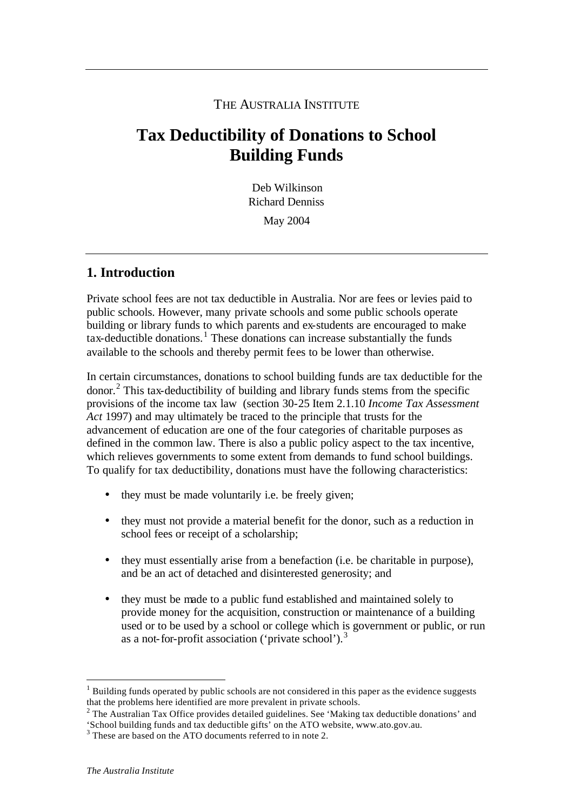## THE AUSTRALIA INSTITUTE

# **Tax Deductibility of Donations to School Building Funds**

Deb Wilkinson Richard Denniss May 2004

# **1. Introduction**

Private school fees are not tax deductible in Australia. Nor are fees or levies paid to public schools. However, many private schools and some public schools operate building or library funds to which parents and ex-students are encouraged to make  $\alpha$  tax-deductible donations.<sup>1</sup> These donations can increase substantially the funds available to the schools and thereby permit fees to be lower than otherwise.

In certain circumstances, donations to school building funds are tax deductible for the donor.<sup>2</sup> This tax-deductibility of building and library funds stems from the specific provisions of the income tax law (section 30-25 Item 2.1.10 *Income Tax Assessment Act* 1997) and may ultimately be traced to the principle that trusts for the advancement of education are one of the four categories of charitable purposes as defined in the common law. There is also a public policy aspect to the tax incentive, which relieves governments to some extent from demands to fund school buildings. To qualify for tax deductibility, donations must have the following characteristics:

- they must be made voluntarily i.e. be freely given;
- they must not provide a material benefit for the donor, such as a reduction in school fees or receipt of a scholarship;
- they must essentially arise from a benefaction (i.e. be charitable in purpose), and be an act of detached and disinterested generosity; and
- they must be made to a public fund established and maintained solely to provide money for the acquisition, construction or maintenance of a building used or to be used by a school or college which is government or public, or run as a not-for-profit association ('private school').<sup>3</sup>

l

 $<sup>1</sup>$  Building funds operated by public schools are not considered in this paper as the evidence suggests</sup> that the problems here identified are more prevalent in private schools.

 $2$  The Australian Tax Office provides detailed guidelines. See 'Making tax deductible donations' and 'School building funds and tax deductible gifts' on the ATO website, www.ato.gov.au.

<sup>&</sup>lt;sup>3</sup> These are based on the ATO documents referred to in note 2.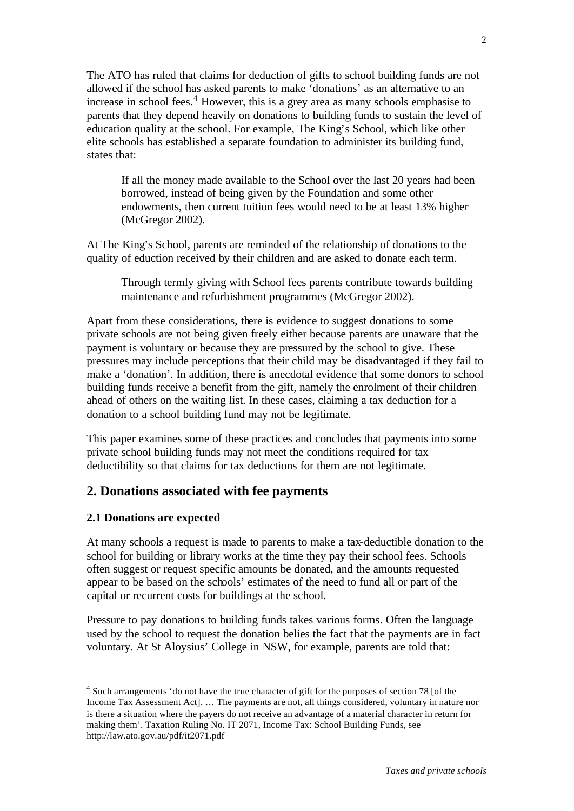The ATO has ruled that claims for deduction of gifts to school building funds are not allowed if the school has asked parents to make 'donations' as an alternative to an increase in school fees.<sup>4</sup> However, this is a grey area as many schools emphasise to parents that they depend heavily on donations to building funds to sustain the level of education quality at the school. For example, The King's School, which like other elite schools has established a separate foundation to administer its building fund, states that:

If all the money made available to the School over the last 20 years had been borrowed, instead of being given by the Foundation and some other endowments, then current tuition fees would need to be at least 13% higher (McGregor 2002).

At The King's School, parents are reminded of the relationship of donations to the quality of eduction received by their children and are asked to donate each term.

Through termly giving with School fees parents contribute towards building maintenance and refurbishment programmes (McGregor 2002).

Apart from these considerations, there is evidence to suggest donations to some private schools are not being given freely either because parents are unaware that the payment is voluntary or because they are pressured by the school to give. These pressures may include perceptions that their child may be disadvantaged if they fail to make a 'donation'. In addition, there is anecdotal evidence that some donors to school building funds receive a benefit from the gift, namely the enrolment of their children ahead of others on the waiting list. In these cases, claiming a tax deduction for a donation to a school building fund may not be legitimate.

This paper examines some of these practices and concludes that payments into some private school building funds may not meet the conditions required for tax deductibility so that claims for tax deductions for them are not legitimate.

### **2. Donations associated with fee payments**

#### **2.1 Donations are expected**

l

At many schools a request is made to parents to make a tax-deductible donation to the school for building or library works at the time they pay their school fees. Schools often suggest or request specific amounts be donated, and the amounts requested appear to be based on the schools' estimates of the need to fund all or part of the capital or recurrent costs for buildings at the school.

Pressure to pay donations to building funds takes various forms. Often the language used by the school to request the donation belies the fact that the payments are in fact voluntary. At St Aloysius' College in NSW, for example, parents are told that:

 $4$  Such arrangements 'do not have the true character of gift for the purposes of section 78 [of the Income Tax Assessment Act]. … The payments are not, all things considered, voluntary in nature nor is there a situation where the payers do not receive an advantage of a material character in return for making them'. Taxation Ruling No. IT 2071, Income Tax: School Building Funds, see http://law.ato.gov.au/pdf/it2071.pdf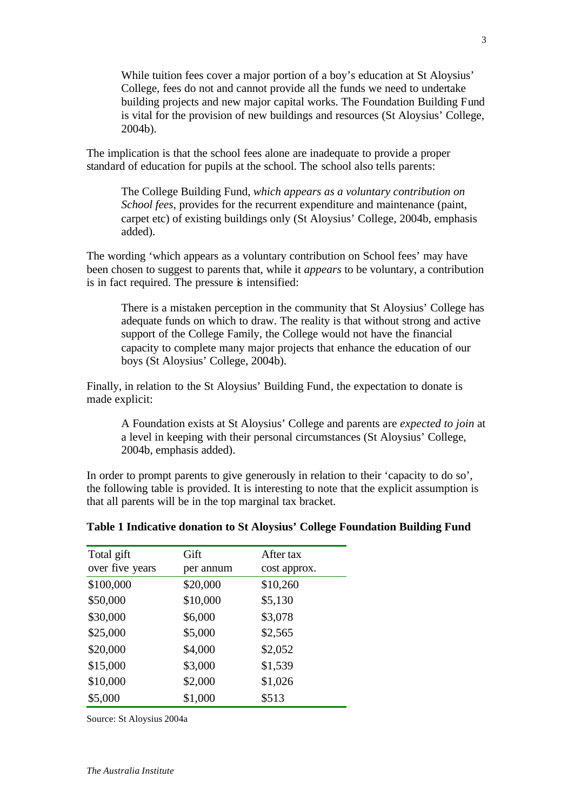While tuition fees cover a major portion of a boy's education at St Aloysius' College, fees do not and cannot provide all the funds we need to undertake building projects and new major capital works. The Foundation Building Fund is vital for the provision of new buildings and resources (St Aloysius' College, 2004b).

The implication is that the school fees alone are inadequate to provide a proper standard of education for pupils at the school. The school also tells parents:

The College Building Fund, *which appears as a voluntary contribution on School fees*, provides for the recurrent expenditure and maintenance (paint, carpet etc) of existing buildings only (St Aloysius' College, 2004b, emphasis added).

The wording 'which appears as a voluntary contribution on School fees' may have been chosen to suggest to parents that, while it *appears* to be voluntary, a contribution is in fact required. The pressure is intensified:

There is a mistaken perception in the community that St Aloysius' College has adequate funds on which to draw. The reality is that without strong and active support of the College Family, the College would not have the financial capacity to complete many major projects that enhance the education of our boys (St Aloysius' College, 2004b).

Finally, in relation to the St Aloysius' Building Fund, the expectation to donate is made explicit:

A Foundation exists at St Aloysius' College and parents are *expected to join* at a level in keeping with their personal circumstances (St Aloysius' College, 2004b, emphasis added).

In order to prompt parents to give generously in relation to their 'capacity to do so', the following table is provided. It is interesting to note that the explicit assumption is that all parents will be in the top marginal tax bracket.

| Total gift      | Gift      | After tax    |
|-----------------|-----------|--------------|
| over five years | per annum | cost approx. |
| \$100,000       | \$20,000  | \$10,260     |
| \$50,000        | \$10,000  | \$5,130      |
| \$30,000        | \$6,000   | \$3,078      |
| \$25,000        | \$5,000   | \$2,565      |
| \$20,000        | \$4,000   | \$2,052      |
| \$15,000        | \$3,000   | \$1,539      |
| \$10,000        | \$2,000   | \$1,026      |
| \$5,000         | \$1,000   | \$513        |

#### **Table 1 Indicative donation to St Aloysius' College Foundation Building Fund**

Source: St Aloysius 2004a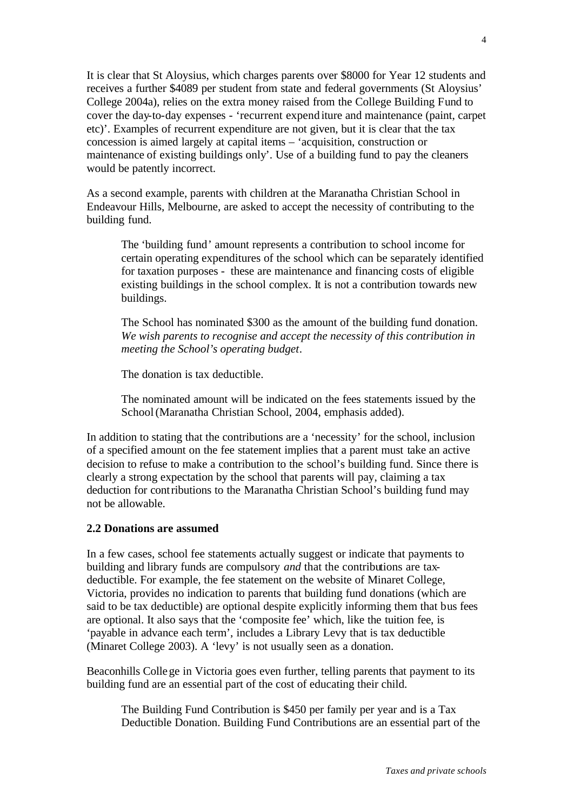It is clear that St Aloysius, which charges parents over \$8000 for Year 12 students and receives a further \$4089 per student from state and federal governments (St Aloysius' College 2004a), relies on the extra money raised from the College Building Fund to cover the day-to-day expenses - 'recurrent expend iture and maintenance (paint, carpet etc)'. Examples of recurrent expenditure are not given, but it is clear that the tax concession is aimed largely at capital items – 'acquisition, construction or maintenance of existing buildings only'. Use of a building fund to pay the cleaners would be patently incorrect.

As a second example, parents with children at the Maranatha Christian School in Endeavour Hills, Melbourne, are asked to accept the necessity of contributing to the building fund.

The 'building fund' amount represents a contribution to school income for certain operating expenditures of the school which can be separately identified for taxation purposes - these are maintenance and financing costs of eligible existing buildings in the school complex. It is not a contribution towards new buildings.

The School has nominated \$300 as the amount of the building fund donation. *We wish parents to recognise and accept the necessity of this contribution in meeting the School's operating budget.*

The donation is tax deductible.

The nominated amount will be indicated on the fees statements issued by the School (Maranatha Christian School, 2004, emphasis added).

In addition to stating that the contributions are a 'necessity' for the school, inclusion of a specified amount on the fee statement implies that a parent must take an active decision to refuse to make a contribution to the school's building fund. Since there is clearly a strong expectation by the school that parents will pay, claiming a tax deduction for contributions to the Maranatha Christian School's building fund may not be allowable.

#### **2.2 Donations are assumed**

In a few cases, school fee statements actually suggest or indicate that payments to building and library funds are compulsory *and* that the contributions are taxdeductible. For example, the fee statement on the website of Minaret College, Victoria, provides no indication to parents that building fund donations (which are said to be tax deductible) are optional despite explicitly informing them that bus fees are optional. It also says that the 'composite fee' which, like the tuition fee, is 'payable in advance each term', includes a Library Levy that is tax deductible (Minaret College 2003). A 'levy' is not usually seen as a donation.

Beaconhills College in Victoria goes even further, telling parents that payment to its building fund are an essential part of the cost of educating their child.

The Building Fund Contribution is \$450 per family per year and is a Tax Deductible Donation. Building Fund Contributions are an essential part of the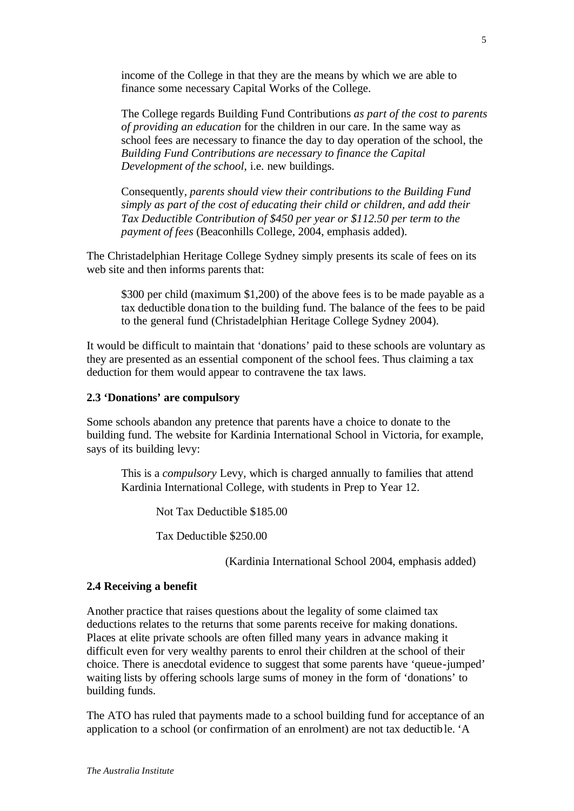income of the College in that they are the means by which we are able to finance some necessary Capital Works of the College.

The College regards Building Fund Contributions *as part of the cost to parents of providing an education* for the children in our care. In the same way as school fees are necessary to finance the day to day operation of the school, the *Building Fund Contributions are necessary to finance the Capital Development of the school*, i.e. new buildings.

Consequently, *parents should view their contributions to the Building Fund simply as part of the cost of educating their child or children, and add their Tax Deductible Contribution of \$450 per year or \$112.50 per term to the payment of fees* (Beaconhills College, 2004, emphasis added).

The Christadelphian Heritage College Sydney simply presents its scale of fees on its web site and then informs parents that:

\$300 per child (maximum \$1,200) of the above fees is to be made payable as a tax deductible dona tion to the building fund. The balance of the fees to be paid to the general fund (Christadelphian Heritage College Sydney 2004).

It would be difficult to maintain that 'donations' paid to these schools are voluntary as they are presented as an essential component of the school fees. Thus claiming a tax deduction for them would appear to contravene the tax laws.

#### **2.3 'Donations' are compulsory**

Some schools abandon any pretence that parents have a choice to donate to the building fund. The website for Kardinia International School in Victoria, for example, says of its building levy:

This is a *compulsory* Levy, which is charged annually to families that attend Kardinia International College, with students in Prep to Year 12.

Not Tax Deductible \$185.00

Tax Deductible \$250.00

(Kardinia International School 2004, emphasis added)

#### **2.4 Receiving a benefit**

Another practice that raises questions about the legality of some claimed tax deductions relates to the returns that some parents receive for making donations. Places at elite private schools are often filled many years in advance making it difficult even for very wealthy parents to enrol their children at the school of their choice. There is anecdotal evidence to suggest that some parents have 'queue-jumped' waiting lists by offering schools large sums of money in the form of 'donations' to building funds.

The ATO has ruled that payments made to a school building fund for acceptance of an application to a school (or confirmation of an enrolment) are not tax deductible. 'A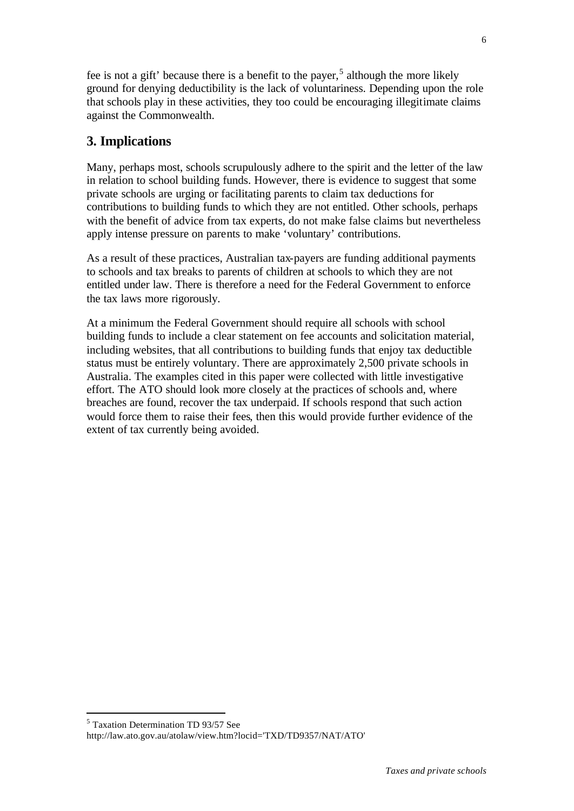fee is not a gift' because there is a benefit to the payer,<sup>5</sup> although the more likely ground for denying deductibility is the lack of voluntariness. Depending upon the role that schools play in these activities, they too could be encouraging illegitimate claims against the Commonwealth.

# **3. Implications**

Many, perhaps most, schools scrupulously adhere to the spirit and the letter of the law in relation to school building funds. However, there is evidence to suggest that some private schools are urging or facilitating parents to claim tax deductions for contributions to building funds to which they are not entitled. Other schools, perhaps with the benefit of advice from tax experts, do not make false claims but nevertheless apply intense pressure on parents to make 'voluntary' contributions.

As a result of these practices, Australian tax-payers are funding additional payments to schools and tax breaks to parents of children at schools to which they are not entitled under law. There is therefore a need for the Federal Government to enforce the tax laws more rigorously.

At a minimum the Federal Government should require all schools with school building funds to include a clear statement on fee accounts and solicitation material, including websites, that all contributions to building funds that enjoy tax deductible status must be entirely voluntary. There are approximately 2,500 private schools in Australia. The examples cited in this paper were collected with little investigative effort. The ATO should look more closely at the practices of schools and, where breaches are found, recover the tax underpaid. If schools respond that such action would force them to raise their fees, then this would provide further evidence of the extent of tax currently being avoided.

l

<sup>5</sup> Taxation Determination TD 93/57 See http://law.ato.gov.au/atolaw/view.htm?locid='TXD/TD9357/NAT/ATO'